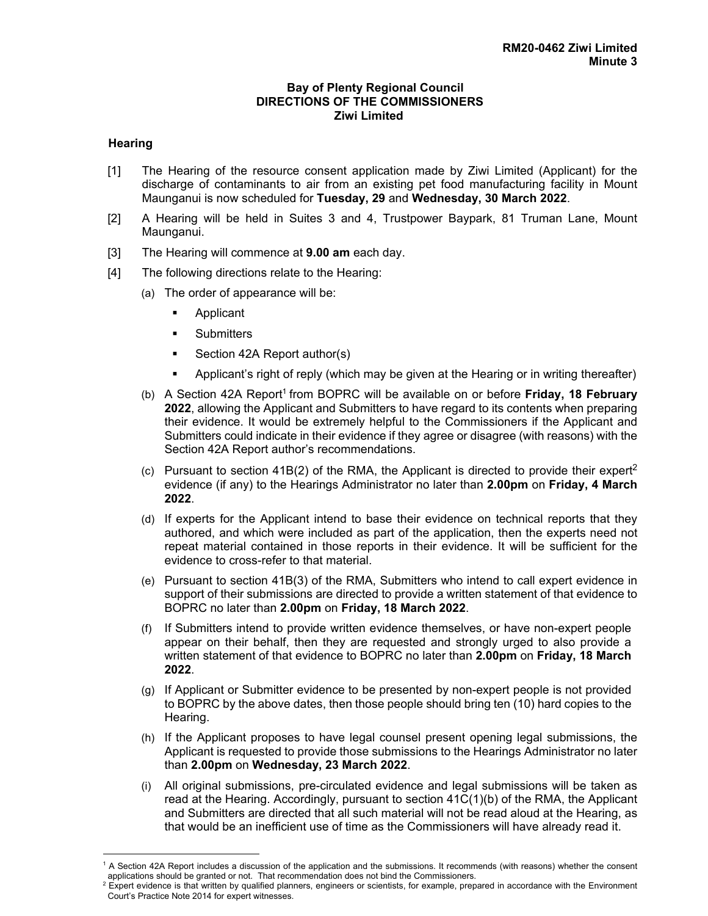## **Bay of Plenty Regional Council DIRECTIONS OF THE COMMISSIONERS Ziwi Limited**

## **Hearing**

 $\overline{a}$ 

- [1] The Hearing of the resource consent application made by Ziwi Limited (Applicant) for the discharge of contaminants to air from an existing pet food manufacturing facility in Mount Maunganui is now scheduled for **Tuesday, 29** and **Wednesday, 30 March 2022**.
- [2] A Hearing will be held in Suites 3 and 4, Trustpower Baypark, 81 Truman Lane, Mount Maunganui.
- [3] The Hearing will commence at **9.00 am** each day.
- [4] The following directions relate to the Hearing:
	- (a) The order of appearance will be:
		- **Applicant**
		- **Submitters**
		- Section 42A Report author(s)
		- Applicant's right of reply (which may be given at the Hearing or in writing thereafter)
	- (b) A Section 42A Report1 from BOPRC will be available on or before **Friday, 18 February 2022**, allowing the Applicant and Submitters to have regard to its contents when preparing their evidence. It would be extremely helpful to the Commissioners if the Applicant and Submitters could indicate in their evidence if they agree or disagree (with reasons) with the Section 42A Report author's recommendations.
	- (c) Pursuant to section 41B(2) of the RMA, the Applicant is directed to provide their expert<sup>2</sup> evidence (if any) to the Hearings Administrator no later than **2.00pm** on **Friday, 4 March 2022**.
	- (d) If experts for the Applicant intend to base their evidence on technical reports that they authored, and which were included as part of the application, then the experts need not repeat material contained in those reports in their evidence. It will be sufficient for the evidence to cross-refer to that material.
	- (e) Pursuant to section 41B(3) of the RMA, Submitters who intend to call expert evidence in support of their submissions are directed to provide a written statement of that evidence to BOPRC no later than **2.00pm** on **Friday, 18 March 2022**.
	- (f) If Submitters intend to provide written evidence themselves, or have non-expert people appear on their behalf, then they are requested and strongly urged to also provide a written statement of that evidence to BOPRC no later than **2.00pm** on **Friday, 18 March 2022**.
	- (g) If Applicant or Submitter evidence to be presented by non-expert people is not provided to BOPRC by the above dates, then those people should bring ten (10) hard copies to the Hearing.
	- (h) If the Applicant proposes to have legal counsel present opening legal submissions, the Applicant is requested to provide those submissions to the Hearings Administrator no later than **2.00pm** on **Wednesday, 23 March 2022**.
	- (i) All original submissions, pre-circulated evidence and legal submissions will be taken as read at the Hearing. Accordingly, pursuant to section 41C(1)(b) of the RMA, the Applicant and Submitters are directed that all such material will not be read aloud at the Hearing, as that would be an inefficient use of time as the Commissioners will have already read it.

<sup>&</sup>lt;sup>1</sup> A Section 42A Report includes a discussion of the application and the submissions. It recommends (with reasons) whether the consent applications should be granted or not. That recommendation does not bind the Commissioners.

 $^2$  Expert evidence is that written by qualified planners, engineers or scientists, for example, prepared in accordance with the Environment Court's Practice Note 2014 for expert witnesses.